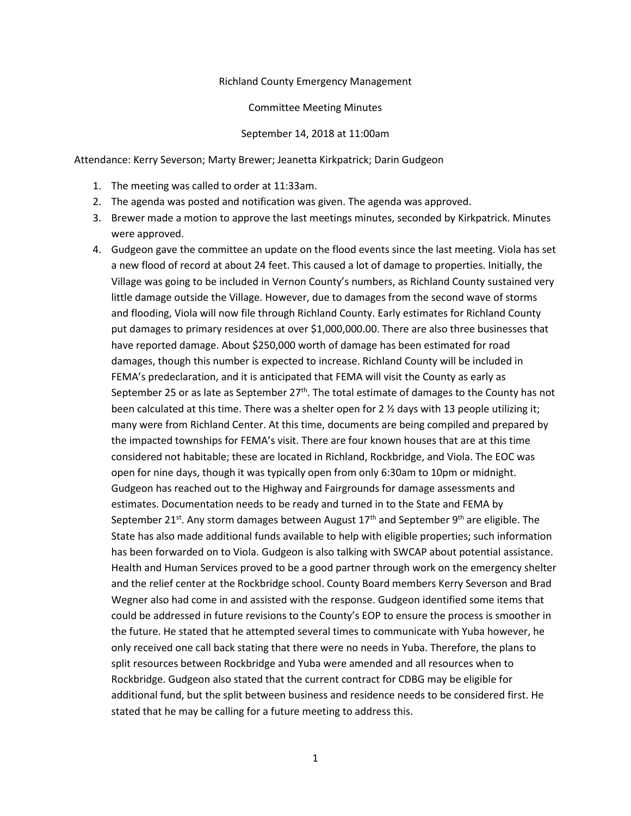## Richland County Emergency Management

## Committee Meeting Minutes

## September 14, 2018 at 11:00am

Attendance: Kerry Severson; Marty Brewer; Jeanetta Kirkpatrick; Darin Gudgeon

- 1. The meeting was called to order at 11:33am.
- 2. The agenda was posted and notification was given. The agenda was approved.
- 3. Brewer made a motion to approve the last meetings minutes, seconded by Kirkpatrick. Minutes were approved.
- 4. Gudgeon gave the committee an update on the flood events since the last meeting. Viola has set a new flood of record at about 24 feet. This caused a lot of damage to properties. Initially, the Village was going to be included in Vernon County's numbers, as Richland County sustained very little damage outside the Village. However, due to damages from the second wave of storms and flooding, Viola will now file through Richland County. Early estimates for Richland County put damages to primary residences at over \$1,000,000.00. There are also three businesses that have reported damage. About \$250,000 worth of damage has been estimated for road damages, though this number is expected to increase. Richland County will be included in FEMA's predeclaration, and it is anticipated that FEMA will visit the County as early as September 25 or as late as September  $27<sup>th</sup>$ . The total estimate of damages to the County has not been calculated at this time. There was a shelter open for  $2 \frac{1}{2}$  days with 13 people utilizing it; many were from Richland Center. At this time, documents are being compiled and prepared by the impacted townships for FEMA's visit. There are four known houses that are at this time considered not habitable; these are located in Richland, Rockbridge, and Viola. The EOC was open for nine days, though it was typically open from only 6:30am to 10pm or midnight. Gudgeon has reached out to the Highway and Fairgrounds for damage assessments and estimates. Documentation needs to be ready and turned in to the State and FEMA by September 21<sup>st</sup>. Any storm damages between August 17<sup>th</sup> and September 9<sup>th</sup> are eligible. The State has also made additional funds available to help with eligible properties; such information has been forwarded on to Viola. Gudgeon is also talking with SWCAP about potential assistance. Health and Human Services proved to be a good partner through work on the emergency shelter and the relief center at the Rockbridge school. County Board members Kerry Severson and Brad Wegner also had come in and assisted with the response. Gudgeon identified some items that could be addressed in future revisions to the County's EOP to ensure the process is smoother in the future. He stated that he attempted several times to communicate with Yuba however, he only received one call back stating that there were no needs in Yuba. Therefore, the plans to split resources between Rockbridge and Yuba were amended and all resources when to Rockbridge. Gudgeon also stated that the current contract for CDBG may be eligible for additional fund, but the split between business and residence needs to be considered first. He stated that he may be calling for a future meeting to address this.